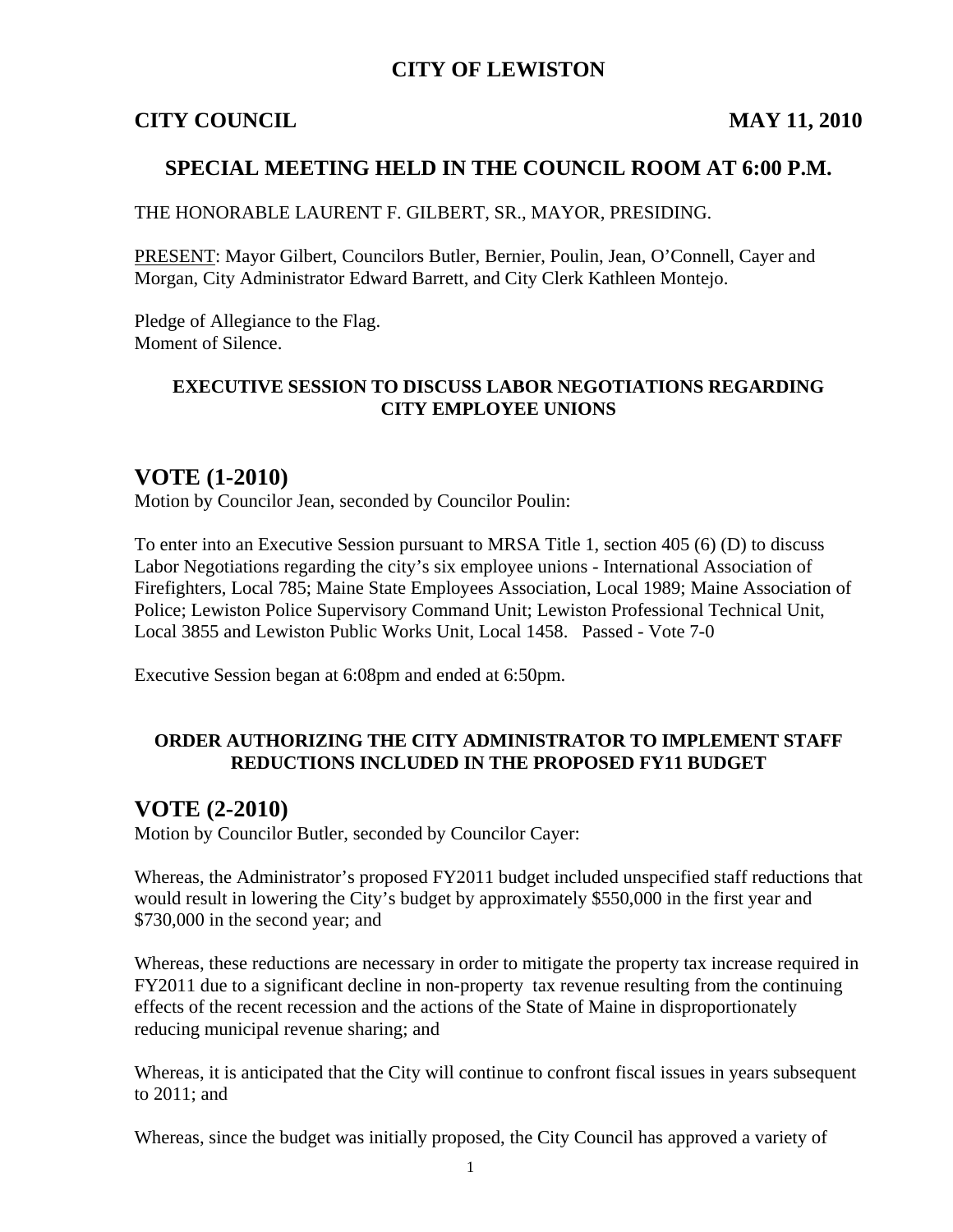## **CITY OF LEWISTON**

#### **CITY COUNCIL MAY 11, 2010**

## **SPECIAL MEETING HELD IN THE COUNCIL ROOM AT 6:00 P.M.**

THE HONORABLE LAURENT F. GILBERT, SR., MAYOR, PRESIDING.

PRESENT: Mayor Gilbert, Councilors Butler, Bernier, Poulin, Jean, O'Connell, Cayer and Morgan, City Administrator Edward Barrett, and City Clerk Kathleen Montejo.

Pledge of Allegiance to the Flag. Moment of Silence.

#### **EXECUTIVE SESSION TO DISCUSS LABOR NEGOTIATIONS REGARDING CITY EMPLOYEE UNIONS**

## **VOTE (1-2010)**

Motion by Councilor Jean, seconded by Councilor Poulin:

To enter into an Executive Session pursuant to MRSA Title 1, section 405 (6) (D) to discuss Labor Negotiations regarding the city's six employee unions - International Association of Firefighters, Local 785; Maine State Employees Association, Local 1989; Maine Association of Police; Lewiston Police Supervisory Command Unit; Lewiston Professional Technical Unit, Local 3855 and Lewiston Public Works Unit, Local 1458. Passed - Vote 7-0

Executive Session began at 6:08pm and ended at 6:50pm.

#### **ORDER AUTHORIZING THE CITY ADMINISTRATOR TO IMPLEMENT STAFF REDUCTIONS INCLUDED IN THE PROPOSED FY11 BUDGET**

#### **VOTE (2-2010)**

Motion by Councilor Butler, seconded by Councilor Cayer:

Whereas, the Administrator's proposed FY2011 budget included unspecified staff reductions that would result in lowering the City's budget by approximately \$550,000 in the first year and \$730,000 in the second year; and

Whereas, these reductions are necessary in order to mitigate the property tax increase required in FY2011 due to a significant decline in non-property tax revenue resulting from the continuing effects of the recent recession and the actions of the State of Maine in disproportionately reducing municipal revenue sharing; and

Whereas, it is anticipated that the City will continue to confront fiscal issues in years subsequent to 2011; and

Whereas, since the budget was initially proposed, the City Council has approved a variety of